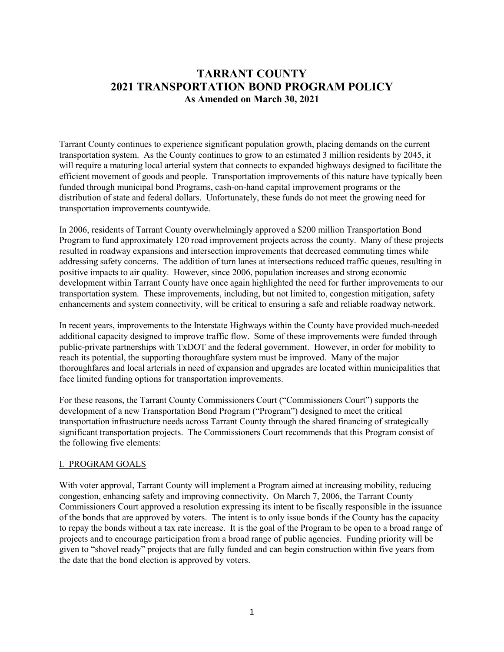# **TARRANT COUNTY 2021 TRANSPORTATION BOND PROGRAM POLICY As Amended on March 30, 2021**

Tarrant County continues to experience significant population growth, placing demands on the current transportation system. As the County continues to grow to an estimated 3 million residents by 2045, it will require a maturing local arterial system that connects to expanded highways designed to facilitate the efficient movement of goods and people. Transportation improvements of this nature have typically been funded through municipal bond Programs, cash-on-hand capital improvement programs or the distribution of state and federal dollars. Unfortunately, these funds do not meet the growing need for transportation improvements countywide.

In 2006, residents of Tarrant County overwhelmingly approved a \$200 million Transportation Bond Program to fund approximately 120 road improvement projects across the county. Many of these projects resulted in roadway expansions and intersection improvements that decreased commuting times while addressing safety concerns. The addition of turn lanes at intersections reduced traffic queues, resulting in positive impacts to air quality. However, since 2006, population increases and strong economic development within Tarrant County have once again highlighted the need for further improvements to our transportation system. These improvements, including, but not limited to, congestion mitigation, safety enhancements and system connectivity, will be critical to ensuring a safe and reliable roadway network.

In recent years, improvements to the Interstate Highways within the County have provided much-needed additional capacity designed to improve traffic flow. Some of these improvements were funded through public-private partnerships with TxDOT and the federal government. However, in order for mobility to reach its potential, the supporting thoroughfare system must be improved. Many of the major thoroughfares and local arterials in need of expansion and upgrades are located within municipalities that face limited funding options for transportation improvements.

For these reasons, the Tarrant County Commissioners Court ("Commissioners Court") supports the development of a new Transportation Bond Program ("Program") designed to meet the critical transportation infrastructure needs across Tarrant County through the shared financing of strategically significant transportation projects. The Commissioners Court recommends that this Program consist of the following five elements:

#### I. PROGRAM GOALS

With voter approval, Tarrant County will implement a Program aimed at increasing mobility, reducing congestion, enhancing safety and improving connectivity. On March 7, 2006, the Tarrant County Commissioners Court approved a resolution expressing its intent to be fiscally responsible in the issuance of the bonds that are approved by voters. The intent is to only issue bonds if the County has the capacity to repay the bonds without a tax rate increase. It is the goal of the Program to be open to a broad range of projects and to encourage participation from a broad range of public agencies. Funding priority will be given to "shovel ready" projects that are fully funded and can begin construction within five years from the date that the bond election is approved by voters.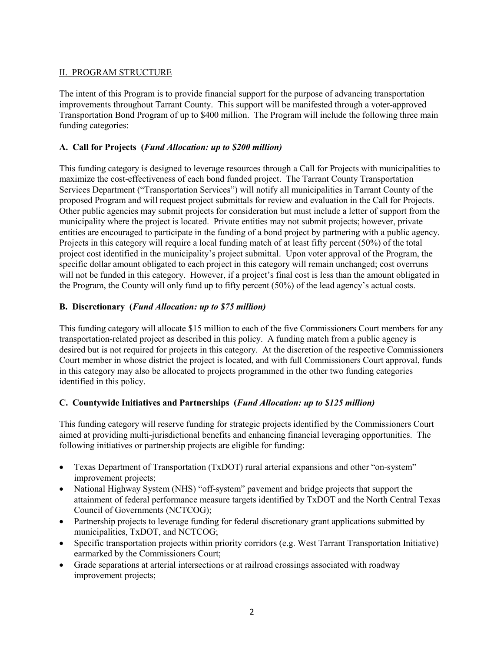## II. PROGRAM STRUCTURE

The intent of this Program is to provide financial support for the purpose of advancing transportation improvements throughout Tarrant County. This support will be manifested through a voter-approved Transportation Bond Program of up to \$400 million. The Program will include the following three main funding categories:

## **A. Call for Projects (***Fund Allocation: up to \$200 million)*

This funding category is designed to leverage resources through a Call for Projects with municipalities to maximize the cost-effectiveness of each bond funded project. The Tarrant County Transportation Services Department ("Transportation Services") will notify all municipalities in Tarrant County of the proposed Program and will request project submittals for review and evaluation in the Call for Projects. Other public agencies may submit projects for consideration but must include a letter of support from the municipality where the project is located. Private entities may not submit projects; however, private entities are encouraged to participate in the funding of a bond project by partnering with a public agency. Projects in this category will require a local funding match of at least fifty percent (50%) of the total project cost identified in the municipality's project submittal. Upon voter approval of the Program, the specific dollar amount obligated to each project in this category will remain unchanged; cost overruns will not be funded in this category. However, if a project's final cost is less than the amount obligated in the Program, the County will only fund up to fifty percent (50%) of the lead agency's actual costs.

## **B. Discretionary (***Fund Allocation: up to \$75 million)*

This funding category will allocate \$15 million to each of the five Commissioners Court members for any transportation-related project as described in this policy. A funding match from a public agency is desired but is not required for projects in this category. At the discretion of the respective Commissioners Court member in whose district the project is located, and with full Commissioners Court approval, funds in this category may also be allocated to projects programmed in the other two funding categories identified in this policy.

## **C. Countywide Initiatives and Partnerships (***Fund Allocation: up to \$125 million)*

This funding category will reserve funding for strategic projects identified by the Commissioners Court aimed at providing multi-jurisdictional benefits and enhancing financial leveraging opportunities. The following initiatives or partnership projects are eligible for funding:

- Texas Department of Transportation (TxDOT) rural arterial expansions and other "on-system" improvement projects;
- National Highway System (NHS) "off-system" pavement and bridge projects that support the attainment of federal performance measure targets identified by TxDOT and the North Central Texas Council of Governments (NCTCOG);
- Partnership projects to leverage funding for federal discretionary grant applications submitted by municipalities, TxDOT, and NCTCOG;
- Specific transportation projects within priority corridors (e.g. West Tarrant Transportation Initiative) earmarked by the Commissioners Court;
- Grade separations at arterial intersections or at railroad crossings associated with roadway improvement projects;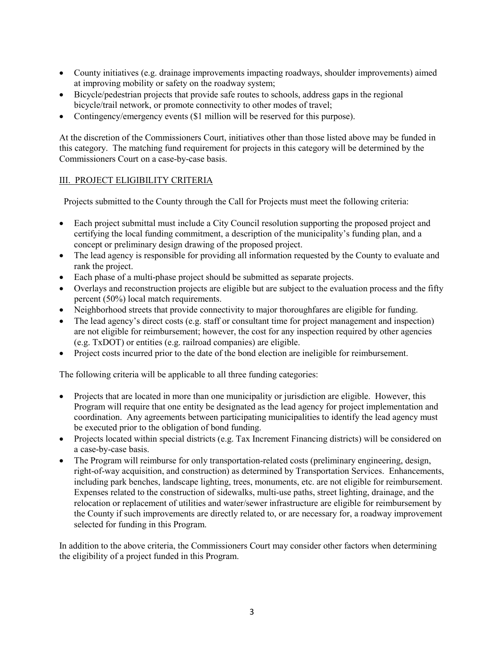- County initiatives (e.g. drainage improvements impacting roadways, shoulder improvements) aimed at improving mobility or safety on the roadway system;
- Bicycle/pedestrian projects that provide safe routes to schools, address gaps in the regional bicycle/trail network, or promote connectivity to other modes of travel;
- Contingency/emergency events (\$1 million will be reserved for this purpose).

At the discretion of the Commissioners Court, initiatives other than those listed above may be funded in this category. The matching fund requirement for projects in this category will be determined by the Commissioners Court on a case-by-case basis.

#### III. PROJECT ELIGIBILITY CRITERIA

Projects submitted to the County through the Call for Projects must meet the following criteria:

- Each project submittal must include a City Council resolution supporting the proposed project and certifying the local funding commitment, a description of the municipality's funding plan, and a concept or preliminary design drawing of the proposed project.
- The lead agency is responsible for providing all information requested by the County to evaluate and rank the project.
- Each phase of a multi-phase project should be submitted as separate projects.
- Overlays and reconstruction projects are eligible but are subject to the evaluation process and the fifty percent (50%) local match requirements.
- Neighborhood streets that provide connectivity to major thoroughfares are eligible for funding.
- The lead agency's direct costs (e.g. staff or consultant time for project management and inspection) are not eligible for reimbursement; however, the cost for any inspection required by other agencies (e.g. TxDOT) or entities (e.g. railroad companies) are eligible.
- Project costs incurred prior to the date of the bond election are ineligible for reimbursement.

The following criteria will be applicable to all three funding categories:

- Projects that are located in more than one municipality or jurisdiction are eligible. However, this Program will require that one entity be designated as the lead agency for project implementation and coordination. Any agreements between participating municipalities to identify the lead agency must be executed prior to the obligation of bond funding.
- Projects located within special districts (e.g. Tax Increment Financing districts) will be considered on a case-by-case basis.
- The Program will reimburse for only transportation-related costs (preliminary engineering, design, right-of-way acquisition, and construction) as determined by Transportation Services. Enhancements, including park benches, landscape lighting, trees, monuments, etc. are not eligible for reimbursement. Expenses related to the construction of sidewalks, multi-use paths, street lighting, drainage, and the relocation or replacement of utilities and water/sewer infrastructure are eligible for reimbursement by the County if such improvements are directly related to, or are necessary for, a roadway improvement selected for funding in this Program.

In addition to the above criteria, the Commissioners Court may consider other factors when determining the eligibility of a project funded in this Program.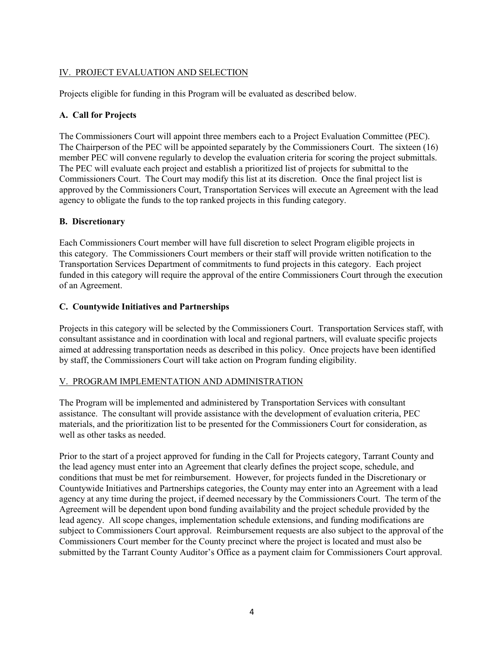## IV. PROJECT EVALUATION AND SELECTION

Projects eligible for funding in this Program will be evaluated as described below.

## **A. Call for Projects**

The Commissioners Court will appoint three members each to a Project Evaluation Committee (PEC). The Chairperson of the PEC will be appointed separately by the Commissioners Court. The sixteen (16) member PEC will convene regularly to develop the evaluation criteria for scoring the project submittals. The PEC will evaluate each project and establish a prioritized list of projects for submittal to the Commissioners Court. The Court may modify this list at its discretion. Once the final project list is approved by the Commissioners Court, Transportation Services will execute an Agreement with the lead agency to obligate the funds to the top ranked projects in this funding category.

## **B. Discretionary**

Each Commissioners Court member will have full discretion to select Program eligible projects in this category. The Commissioners Court members or their staff will provide written notification to the Transportation Services Department of commitments to fund projects in this category. Each project funded in this category will require the approval of the entire Commissioners Court through the execution of an Agreement.

## **C. Countywide Initiatives and Partnerships**

Projects in this category will be selected by the Commissioners Court. Transportation Services staff, with consultant assistance and in coordination with local and regional partners, will evaluate specific projects aimed at addressing transportation needs as described in this policy. Once projects have been identified by staff, the Commissioners Court will take action on Program funding eligibility.

## V. PROGRAM IMPLEMENTATION AND ADMINISTRATION

The Program will be implemented and administered by Transportation Services with consultant assistance. The consultant will provide assistance with the development of evaluation criteria, PEC materials, and the prioritization list to be presented for the Commissioners Court for consideration, as well as other tasks as needed.

Prior to the start of a project approved for funding in the Call for Projects category, Tarrant County and the lead agency must enter into an Agreement that clearly defines the project scope, schedule, and conditions that must be met for reimbursement. However, for projects funded in the Discretionary or Countywide Initiatives and Partnerships categories, the County may enter into an Agreement with a lead agency at any time during the project, if deemed necessary by the Commissioners Court. The term of the Agreement will be dependent upon bond funding availability and the project schedule provided by the lead agency. All scope changes, implementation schedule extensions, and funding modifications are subject to Commissioners Court approval. Reimbursement requests are also subject to the approval of the Commissioners Court member for the County precinct where the project is located and must also be submitted by the Tarrant County Auditor's Office as a payment claim for Commissioners Court approval.